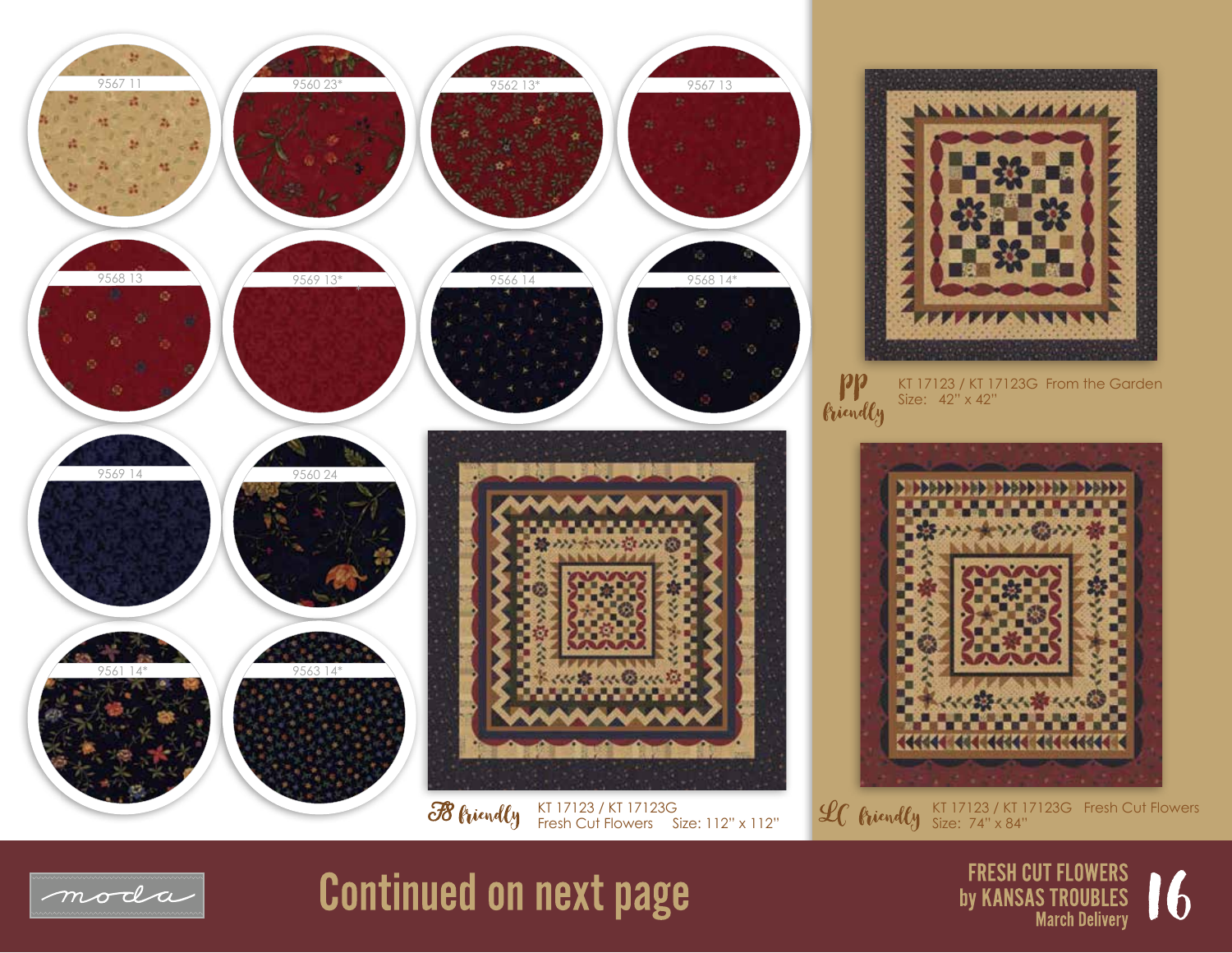



KT 17123 / KT 17123G From the Garden Size: 42" x 42"



KT 17123 / KT 17123G Fresh Cut Flowers Size: 74" x 84"



## **Continued on next page**

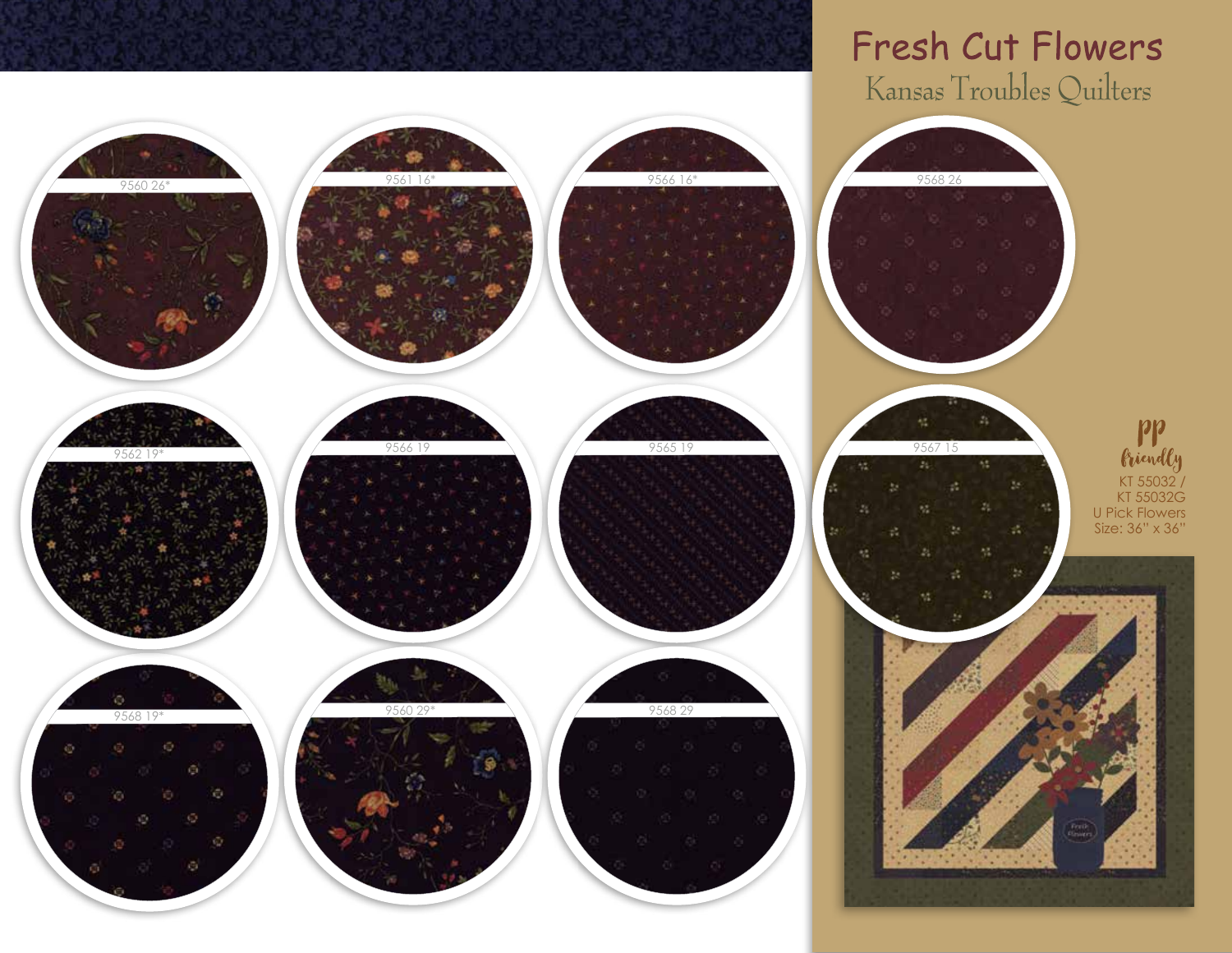